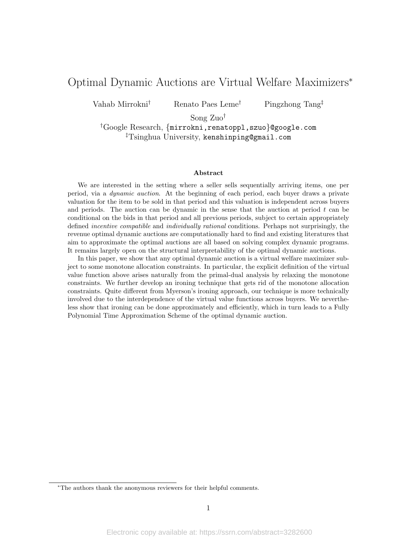# Optimal Dynamic Auctions are Virtual Welfare Maximizers<sup>∗</sup>

Vahab Mirrokni† Renato Paes Leme† Pingzhong Tang‡

Song Zuo†

†Google Research, {mirrokni,renatoppl,szuo}@google.com ‡Tsinghua University, kenshinping@gmail.com

#### Abstract

We are interested in the setting where a seller sells sequentially arriving items, one per period, via a dynamic auction. At the beginning of each period, each buyer draws a private valuation for the item to be sold in that period and this valuation is independent across buyers and periods. The auction can be dynamic in the sense that the auction at period  $t$  can be conditional on the bids in that period and all previous periods, subject to certain appropriately defined incentive compatible and individually rational conditions. Perhaps not surprisingly, the revenue optimal dynamic auctions are computationally hard to find and existing literatures that aim to approximate the optimal auctions are all based on solving complex dynamic programs. It remains largely open on the structural interpretability of the optimal dynamic auctions.

In this paper, we show that any optimal dynamic auction is a virtual welfare maximizer subject to some monotone allocation constraints. In particular, the explicit definition of the virtual value function above arises naturally from the primal-dual analysis by relaxing the monotone constraints. We further develop an ironing technique that gets rid of the monotone allocation constraints. Quite different from Myerson's ironing approach, our technique is more technically involved due to the interdependence of the virtual value functions across buyers. We nevertheless show that ironing can be done approximately and efficiently, which in turn leads to a Fully Polynomial Time Approximation Scheme of the optimal dynamic auction.

<sup>∗</sup>The authors thank the anonymous reviewers for their helpful comments.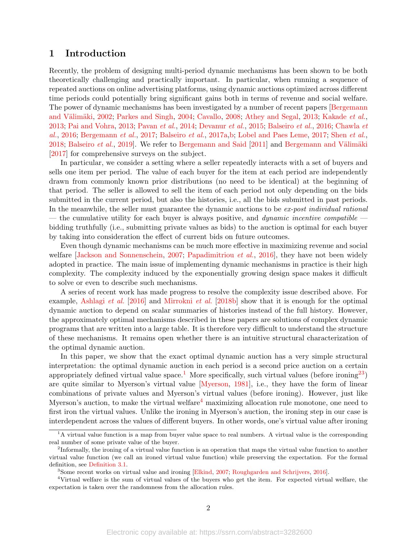## <span id="page-1-4"></span>1 Introduction

Recently, the problem of designing multi-period dynamic mechanisms has been shown to be both theoretically challenging and practically important. In particular, when running a sequence of repeated auctions on online advertising platforms, using dynamic auctions optimized across different time periods could potentially bring significant gains both in terms of revenue and social welfare. The power of dynamic mechanisms has been investigated by a number of recent papers [\[Bergemann](#page-14-0) and Välimäki, [2002;](#page-14-0) [Parkes and Singh,](#page-15-0) [2004;](#page-15-0) [Cavallo,](#page-14-1) [2008;](#page-14-1) [Athey and Segal,](#page-13-0) [2013;](#page-13-0) [Kakade](#page-14-2) et al., [2013;](#page-14-2) [Pai and Vohra,](#page-15-1) [2013;](#page-15-1) [Pavan](#page-15-2) et al., [2014;](#page-15-2) [Devanur](#page-14-3) et al., [2015;](#page-14-3) [Balseiro](#page-13-1) et al., [2016;](#page-13-1) [Chawla](#page-14-4) et [al.](#page-14-4), [2016;](#page-14-4) [Bergemann](#page-14-5) et al., [2017;](#page-14-5) [Balseiro](#page-13-2) et al., [2017a](#page-13-2)[,b;](#page-13-3) [Lobel and Paes Leme,](#page-14-6) [2017;](#page-14-6) Shen [et al.](#page-15-3), [2018;](#page-15-3) [Balseiro](#page-13-4) *et al.*, [2019\]](#page-13-4). We refer to [Bergemann and Said](#page-14-7)  $[2011]$  and Bergemann and Välimäki [\[2017\]](#page-14-8) for comprehensive surveys on the subject.

In particular, we consider a setting where a seller repeatedly interacts with a set of buyers and sells one item per period. The value of each buyer for the item at each period are independently drawn from commonly known prior distributions (no need to be identical) at the beginning of that period. The seller is allowed to sell the item of each period not only depending on the bids submitted in the current period, but also the histories, i.e., all the bids submitted in past periods. In the meanwhile, the seller must guarantee the dynamic auctions to be ex-post individual rational — the cumulative utility for each buyer is always positive, and *dynamic incentive compatible* bidding truthfully (i.e., submitting private values as bids) to the auction is optimal for each buyer by taking into consideration the effect of current bids on future outcomes.

Even though dynamic mechanisms can be much more effective in maximizing revenue and social welfare [\[Jackson and Sonnenschein,](#page-14-9) [2007;](#page-14-9) [Papadimitriou](#page-15-4) *et al.*, [2016\]](#page-15-4), they have not been widely adopted in practice. The main issue of implementing dynamic mechanisms in practice is their high complexity. The complexity induced by the exponentially growing design space makes it difficult to solve or even to describe such mechanisms.

A series of recent work has made progress to resolve the complexity issue described above. For example, [Ashlagi](#page-13-5) et al. [\[2016\]](#page-13-5) and [Mirrokni](#page-15-5) et al. [\[2018b\]](#page-15-5) show that it is enough for the optimal dynamic auction to depend on scalar summaries of histories instead of the full history. However, the approximately optimal mechanisms described in these papers are solutions of complex dynamic programs that are written into a large table. It is therefore very difficult to understand the structure of these mechanisms. It remains open whether there is an intuitive structural characterization of the optimal dynamic auction.

In this paper, we show that the exact optimal dynamic auction has a very simple structural interpretation: the optimal dynamic auction in each period is a second price auction on a certain appropriately defined virtual value space.<sup>[1](#page-1-0)</sup> More specifically, such virtual values (before ironing<sup>[2](#page-1-1)[3](#page-1-2)</sup>) are quite similar to Myerson's virtual value [\[Myerson,](#page-15-6) [1981\]](#page-15-6), i.e., they have the form of linear combinations of private values and Myerson's virtual values (before ironing). However, just like Myerson's auction, to make the virtual welfare[4](#page-1-3) maximizing allocation rule monotone, one need to first iron the virtual values. Unlike the ironing in Myerson's auction, the ironing step in our case is interdependent across the values of different buyers. In other words, one's virtual value after ironing

<span id="page-1-0"></span><sup>&</sup>lt;sup>1</sup>A virtual value function is a map from buyer value space to real numbers. A virtual value is the corresponding real number of some private value of the buyer.

<span id="page-1-1"></span><sup>&</sup>lt;sup>2</sup>Informally, the ironing of a virtual value function is an operation that maps the virtual value function to another virtual value function (we call an ironed virtual value function) while preserving the expectation. For the formal definition, see [Definition 3.1.](#page-5-0)

<span id="page-1-3"></span><span id="page-1-2"></span><sup>3</sup>Some recent works on virtual value and ironing [\[Elkind,](#page-14-10) [2007;](#page-14-10) [Roughgarden and Schrijvers,](#page-15-7) [2016\]](#page-15-7).

<sup>4</sup>Virtual welfare is the sum of virtual values of the buyers who get the item. For expected virtual welfare, the expectation is taken over the randomness from the allocation rules.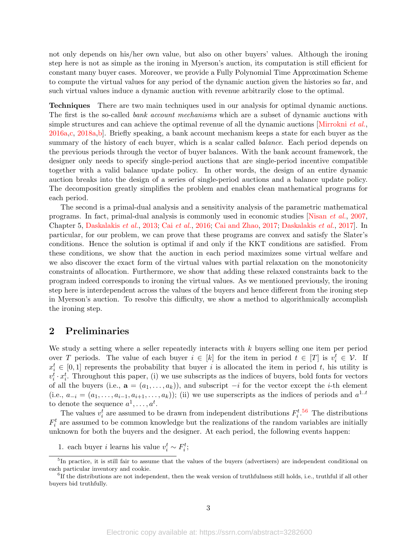<span id="page-2-2"></span>not only depends on his/her own value, but also on other buyers' values. Although the ironing step here is not as simple as the ironing in Myerson's auction, its computation is still efficient for constant many buyer cases. Moreover, we provide a Fully Polynomial Time Approximation Scheme to compute the virtual values for any period of the dynamic auction given the histories so far, and such virtual values induce a dynamic auction with revenue arbitrarily close to the optimal.

Techniques There are two main techniques used in our analysis for optimal dynamic auctions. The first is the so-called *bank account mechanisms* which are a subset of dynamic auctions with simple structures and can achieve the optimal revenue of all the dynamic auctions  $\overline{Mirrokni}$  *et al.* [2016a](#page-15-8)[,c,](#page-15-9) [2018a,](#page-15-10)[b\]](#page-15-5). Briefly speaking, a bank account mechanism keeps a state for each buyer as the summary of the history of each buyer, which is a scalar called *balance*. Each period depends on the previous periods through the vector of buyer balances. With the bank account framework, the designer only needs to specify single-period auctions that are single-period incentive compatible together with a valid balance update policy. In other words, the design of an entire dynamic auction breaks into the design of a series of single-period auctions and a balance update policy. The decomposition greatly simplifies the problem and enables clean mathematical programs for each period.

The second is a primal-dual analysis and a sensitivity analysis of the parametric mathematical programs. In fact, primal-dual analysis is commonly used in economic studies [\[Nisan](#page-15-11) et al., [2007,](#page-15-11) Chapter 5, [Daskalakis](#page-14-11) et al., [2013;](#page-14-11) Cai [et al.](#page-14-12), [2016;](#page-14-12) [Cai and Zhao,](#page-14-13) [2017;](#page-14-13) [Daskalakis](#page-14-14) et al., [2017\]](#page-14-14). In particular, for our problem, we can prove that these programs are convex and satisfy the Slater's conditions. Hence the solution is optimal if and only if the KKT conditions are satisfied. From these conditions, we show that the auction in each period maximizes some virtual welfare and we also discover the exact form of the virtual values with partial relaxation on the monotonicity constraints of allocation. Furthermore, we show that adding these relaxed constraints back to the program indeed corresponds to ironing the virtual values. As we mentioned previously, the ironing step here is interdependent across the values of the buyers and hence different from the ironing step in Myerson's auction. To resolve this difficulty, we show a method to algorithmically accomplish the ironing step.

## 2 Preliminaries

We study a setting where a seller repeatedly interacts with  $k$  buyers selling one item per period over T periods. The value of each buyer  $i \in [k]$  for the item in period  $t \in [T]$  is  $v_i^t \in \mathcal{V}$ . If  $x_i^t \in [0,1]$  represents the probability that buyer i is allocated the item in period t, his utility is  $v_i^t \cdot x_i^t$ . Throughout this paper, (i) we use subscripts as the indices of buyers, bold fonts for vectors of all the buyers (i.e.,  $\mathbf{a} = (a_1, \ldots, a_k)$ ), and subscript  $-i$  for the vector except the *i*-th element (i.e.,  $a_{-i} = (a_1, \ldots, a_{i-1}, a_{i+1}, \ldots, a_k)$ ); (ii) we use superscripts as the indices of periods and  $a^{1..t}$ to denote the sequence  $a^1, \ldots, a^t$ .

The values  $v_i^t$  are assumed to be drawn from independent distributions  $F_i^{t.56}$  $F_i^{t.56}$  $F_i^{t.56}$  $F_i^{t.56}$  The distributions  $F_i^t$  are assumed to be common knowledge but the realizations of the random variables are initially unknown for both the buyers and the designer. At each period, the following events happen:

1. each buyer *i* learns his value  $v_i^t \sim F_i^t$ ;

<span id="page-2-0"></span><sup>&</sup>lt;sup>5</sup>In practice, it is still fair to assume that the values of the buyers (advertisers) are independent conditional on each particular inventory and cookie.

<span id="page-2-1"></span><sup>6</sup> If the distributions are not independent, then the weak version of truthfulness still holds, i.e., truthful if all other buyers bid truthfully.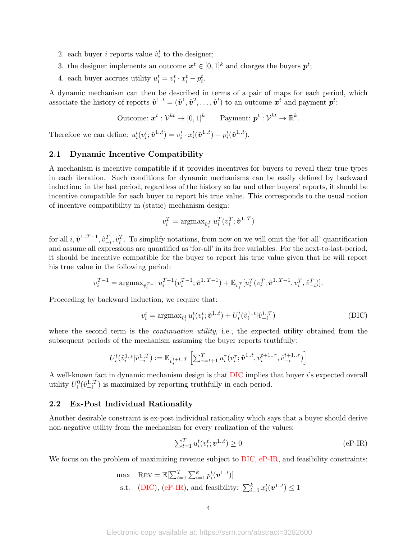- 2. each buyer *i* reports value  $\hat{v}_i^t$  to the designer;
- 3. the designer implements an outcome  $x^t \in [0,1]^k$  and charges the buyers  $p^t$ ;
- 4. each buyer accrues utility  $u_i^t = v_i^t \cdot x_i^t p_i^t$ .

A dynamic mechanism can then be described in terms of a pair of maps for each period, which associate the history of reports  $\hat{\mathbf{v}}^{1..t} = (\hat{\mathbf{v}}^1, \hat{\mathbf{v}}^2, \dots, \hat{\mathbf{v}}^t)$  to an outcome  $\mathbf{x}^t$  and payment  $\mathbf{p}^t$ :

Outcome:  $\boldsymbol{x}^t: \mathcal{V}^{kt} \to [0,1]^k$  Payment:  $\boldsymbol{p}^t: \mathcal{V}^{kt} \to \mathbb{R}^k$ .

Therefore we can define:  $u_i^t(v_i^t; \hat{\mathbf{v}}^{1..t}) = v_i^t \cdot x_i^t(\hat{\mathbf{v}}^{1..t}) - p_i^t(\hat{\mathbf{v}}^{1..t}).$ 

## 2.1 Dynamic Incentive Compatibility

A mechanism is incentive compatible if it provides incentives for buyers to reveal their true types in each iteration. Such conditions for dynamic mechanisms can be easily defined by backward induction: in the last period, regardless of the history so far and other buyers' reports, it should be incentive compatible for each buyer to report his true value. This corresponds to the usual notion of incentive compatibility in (static) mechanism design:

$$
v_i^T = \text{argmax}_{\hat{v}_i^T} u_i^T(v_i^T; \hat{\mathbf{v}}^{1..T})
$$

for all  $i, \hat{\mathbf{v}}^{1..T-1}, \hat{v}_{-i}^T, v_i^T$ . To simplify notations, from now on we will omit the 'for-all' quantification and assume all expressions are quantified as 'for-all' in its free variables. For the next-to-last-period, it should be incentive compatible for the buyer to report his true value given that he will report his true value in the following period:

$$
v_i^{T-1} = \operatorname{argmax}_{\hat{v}_i^{T-1}} u_i^{T-1} (v_i^{T-1}; \hat{\mathbf{v}}^{1..T-1}) + \mathbb{E}_{v_i^{T}}[u_i^{T}(v_i^{T}; \hat{\mathbf{v}}^{1..T-1}, v_i^{T}, \hat{v}_{-i}^{T})].
$$

Proceeding by backward induction, we require that:

<span id="page-3-0"></span>
$$
v_i^t = \arg\max_{\hat{v}_i^t} u_i^t(v_i^t; \hat{\mathbf{v}}^{1..t}) + U_i^t(\hat{v}_i^{1..t} | \hat{v}_{-i}^{1..T})
$$
(DIC)

where the second term is the *continuation utility*, i.e., the expected utility obtained from the subsequent periods of the mechanism assuming the buyer reports truthfully:

$$
U_i^t(\hat{v}_i^{1..t}|\hat{v}_{-i}^{1..T}) := \mathbb{E}_{v_i^{t+1..T}}\left[\textstyle\sum_{\tau=t+1}^T u_i^\tau(v_i^\tau;\hat{\pmb{v}}^{1..t},v_i^{t+1..\tau},\hat{v}_{-i}^{t+1..\tau})\right]
$$

A well-known fact in dynamic mechanism design is that [DIC](#page-3-0) implies that buyer i's expected overall utility  $U_i^0(\hat{v}_{-i}^{1..T})$  is maximized by reporting truthfully in each period.

#### 2.2 Ex-Post Individual Rationality

Another desirable constraint is ex-post individual rationality which says that a buyer should derive non-negative utility from the mechanism for every realization of the values:

<span id="page-3-1"></span>
$$
\sum_{t=1}^{T} u_i^t(v_i^t; \mathbf{v}^{1..t}) \ge 0
$$
 (eP-IR)

We focus on the problem of maximizing revenue subject to [DIC,](#page-3-0) [eP-IR,](#page-3-1) and feasibility constraints:

$$
\begin{aligned}\n\text{max} \quad &\text{Rev} = \mathbb{E}[\sum_{t=1}^{T} \sum_{i=1}^{k} p_i^t(\mathbf{v}^{1..t})] \\
\text{s.t.} \quad &(\text{DIC}), \text{ (eP-IR)}, \text{ and feasibility: } \sum_{i=1}^{k} x_i^t(\mathbf{v}^{1..t}) \le 1\n\end{aligned}
$$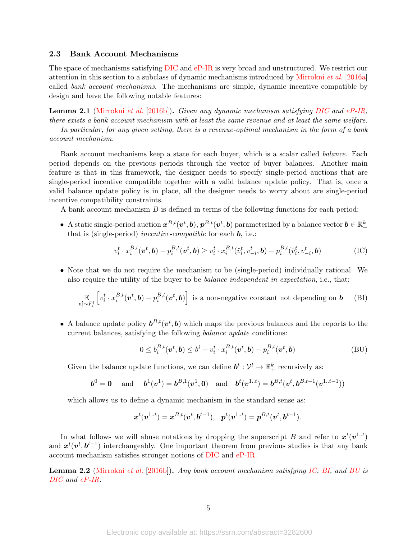#### <span id="page-4-4"></span>2.3 Bank Account Mechanisms

The space of mechanisms satisfying [DIC](#page-3-0) and [eP-IR](#page-3-1) is very broad and unstructured. We restrict our attention in this section to a subclass of dynamic mechanisms introduced by [Mirrokni](#page-15-8) et al. [\[2016a\]](#page-15-8) called bank account mechanisms. The mechanisms are simple, dynamic incentive compatible by design and have the following notable features:

Lemma 2.1 [\(Mirrokni](#page-15-12) et al. [\[2016b\]](#page-15-12)). Given any dynamic mechanism satisfying [DIC](#page-3-0) and [eP-IR,](#page-3-1) there exists a bank account mechanism with at least the same revenue and at least the same welfare.

In particular, for any given setting, there is a revenue-optimal mechanism in the form of a bank account mechanism.

Bank account mechanisms keep a state for each buyer, which is a scalar called balance. Each period depends on the previous periods through the vector of buyer balances. Another main feature is that in this framework, the designer needs to specify single-period auctions that are single-period incentive compatible together with a valid balance update policy. That is, once a valid balance update policy is in place, all the designer needs to worry about are single-period incentive compatibility constraints.

A bank account mechanism B is defined in terms of the following functions for each period:

● A static single-period auction  $x^{B,t}(v^t, b), p^{B,t}(v^t, b)$  parameterized by a balance vector  $b \in \mathbb{R}_+^k$ that is (single-period) *incentive-compatible* for each **, i.e.:** 

$$
v_i^t \cdot x_i^{B,t}(\boldsymbol{v}^t, \boldsymbol{b}) - p_i^{B,t}(\boldsymbol{v}^t, \boldsymbol{b}) \ge v_i^t \cdot x_i^{B,t}(\hat{v}_i^t, v_{-i}^t, \boldsymbol{b}) - p_i^{B,t}(\hat{v}_i^t, v_{-i}^t, \boldsymbol{b})
$$
(IC)

• Note that we do not require the mechanism to be (single-period) individually rational. We also require the utility of the buyer to be balance independent in expectation, i.e., that:

$$
\mathbb{E}_{v_i^t \sim F_i^t} \left[ v_i^t \cdot x_i^{B,t}(\boldsymbol{v}^t, \boldsymbol{b}) - p_i^{B,t}(\boldsymbol{v}^t, \boldsymbol{b}) \right] \text{ is a non-negative constant not depending on } \boldsymbol{b} \quad \text{(BI)}
$$

• A balance update policy  $\boldsymbol{b}^{B,t}(\boldsymbol{v}^t,\boldsymbol{b})$  which maps the previous balances and the reports to the current balances, satisfying the following balance update conditions:

<span id="page-4-2"></span><span id="page-4-1"></span><span id="page-4-0"></span>
$$
0 \leq b_i^{B,t}(\boldsymbol{v}^t, \boldsymbol{b}) \leq b^i + v_i^t \cdot x_i^{B,t}(\boldsymbol{v}^t, \boldsymbol{b}) - p_i^{B,t}(\boldsymbol{v}^t, \boldsymbol{b})
$$
(BU)

Given the balance update functions, we can define  $b^t: \mathcal{V}^t \to \mathbb{R}^k_+$  recursively as:

$$
\boldsymbol{b}^0 = \mathbf{0} \text{ and } \boldsymbol{b}^1(\boldsymbol{v}^1) = \boldsymbol{b}^{B,1}(\boldsymbol{v}^1, \mathbf{0}) \text{ and } \boldsymbol{b}^t(\boldsymbol{v}^{1..t}) = \boldsymbol{b}^{B,t}(\boldsymbol{v}^t, \boldsymbol{b}^{B,t-1}(\boldsymbol{v}^{1..t-1}))
$$

which allows us to define a dynamic mechanism in the standard sense as:

$$
\boldsymbol{x}^{t}(\boldsymbol{v}^{1..t})=\boldsymbol{x}^{B,t}(\boldsymbol{v}^{t},\boldsymbol{b}^{t-1}),\ \ \boldsymbol{p}^{t}(\boldsymbol{v}^{1..t})=\boldsymbol{p}^{B,t}(\boldsymbol{v}^{t},\boldsymbol{b}^{t-1}).
$$

In what follows we will abuse notations by dropping the superscript B and refer to  $x^t(v^{1..t})$ and  $x^t(v^t, b^{t-1})$  interchangeably. One important theorem from previous studies is that any bank account mechanism satisfies stronger notions of [DIC](#page-3-0) and [eP-IR.](#page-3-1)

<span id="page-4-3"></span>Lemma 2.2 [\(Mirrokni](#page-15-12) et al. [\[2016b\]](#page-15-12)). Any bank account mechanism satisfying [IC,](#page-4-0) [BI,](#page-4-1) and [BU](#page-4-2) is [DIC](#page-3-0) and [eP-IR.](#page-3-1)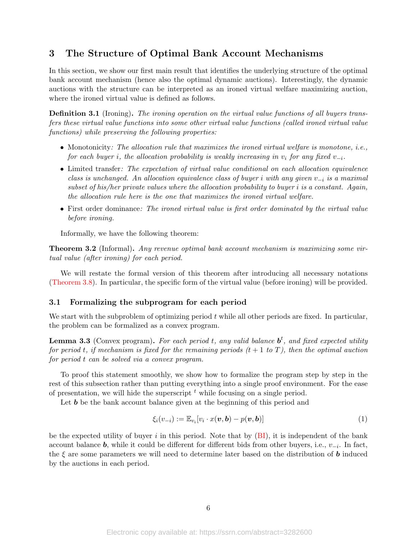# 3 The Structure of Optimal Bank Account Mechanisms

In this section, we show our first main result that identifies the underlying structure of the optimal bank account mechanism (hence also the optimal dynamic auctions). Interestingly, the dynamic auctions with the structure can be interpreted as an ironed virtual welfare maximizing auction, where the ironed virtual value is defined as follows.

<span id="page-5-0"></span>Definition 3.1 (Ironing). The ironing operation on the virtual value functions of all buyers transfers these virtual value functions into some other virtual value functions (called ironed virtual value functions) while preserving the following properties:

- Monotonicity: The allocation rule that maximizes the ironed virtual welfare is monotone, *i.e.*, for each buyer i, the allocation probability is weakly increasing in  $v_i$  for any fixed  $v_{-i}$ .
- Limited transfer: The expectation of virtual value conditional on each allocation equivalence class is unchanged. An allocation equivalence class of buyer i with any given  $v_{-i}$  is a maximal subset of his/her private values where the allocation probability to buyer i is a constant. Again, the allocation rule here is the one that maximizes the ironed virtual welfare.
- First order dominance: The ironed virtual value is first order dominated by the virtual value before ironing.

Informally, we have the following theorem:

<span id="page-5-2"></span>Theorem 3.2 (Informal). Any revenue optimal bank account mechanism is maximizing some virtual value (after ironing) for each period.

We will restate the formal version of this theorem after introducing all necessary notations [\(Theorem 3.8\)](#page-10-0). In particular, the specific form of the virtual value (before ironing) will be provided.

#### 3.1 Formalizing the subprogram for each period

We start with the subproblem of optimizing period  $t$  while all other periods are fixed. In particular, the problem can be formalized as a convex program.

**Lemma 3.3** (Convex program). For each period t, any valid balance  $\mathbf{b}^t$ , and fixed expected utility for period t, if mechanism is fixed for the remaining periods  $(t + 1 to T)$ , then the optimal auction for period t can be solved via a convex program.

To proof this statement smoothly, we show how to formalize the program step by step in the rest of this subsection rather than putting everything into a single proof environment. For the ease of presentation, we will hide the superscript  $<sup>t</sup>$  while focusing on a single period.</sup>

Let **b** be the bank account balance given at the beginning of this period and

<span id="page-5-1"></span>
$$
\xi_i(v_{-i}) := \mathbb{E}_{v_i}[v_i \cdot x(\boldsymbol{v}, \boldsymbol{b}) - p(\boldsymbol{v}, \boldsymbol{b})] \tag{1}
$$

be the expected utility of buyer i in this period. Note that by  $(BI)$ , it is independent of the bank account balance **b**, while it could be different for different bids from other buyers, i.e.,  $v_{-i}$ . In fact, the  $\xi$  are some parameters we will need to determine later based on the distribution of **b** induced by the auctions in each period.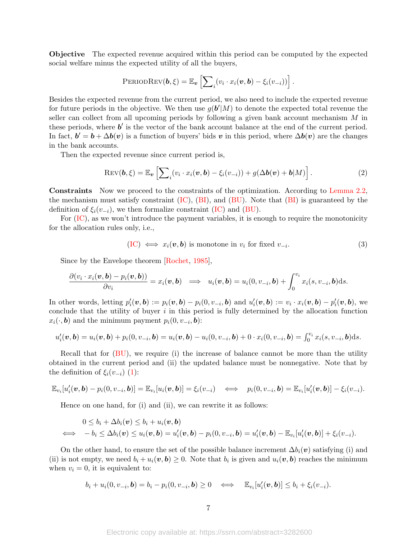<span id="page-6-2"></span>Objective The expected revenue acquired within this period can be computed by the expected social welfare minus the expected utility of all the buyers,

$$
\text{PERIODREV}(\boldsymbol{b}, \boldsymbol{\xi}) = \mathbb{E}_{\boldsymbol{v}} \left[ \sum_i (v_i \cdot x_i(\boldsymbol{v}, \boldsymbol{b}) - \xi_i(v_{-i})) \right].
$$

Besides the expected revenue from the current period, we also need to include the expected revenue for future periods in the objective. We then use  $g(b'|M)$  to denote the expected total revenue the seller can collect from all upcoming periods by following a given bank account mechanism M in these periods, where  $b'$  is the vector of the bank account balance at the end of the current period. In fact,  $\mathbf{b}' = \mathbf{b} + \Delta \mathbf{b}(\mathbf{v})$  is a function of buyers' bids v in this period, where  $\Delta \mathbf{b}(\mathbf{v})$  are the changes in the bank accounts.

Then the expected revenue since current period is,

$$
Rev(\boldsymbol{b}, \xi) = \mathbb{E}_{\boldsymbol{v}} \left[ \sum_{i} (v_i \cdot x_i(\boldsymbol{v}, \boldsymbol{b}) - \xi_i(v_{-i})) + g(\Delta \boldsymbol{b}(\boldsymbol{v}) + \boldsymbol{b}|M) \right]. \tag{2}
$$

Constraints Now we proceed to the constraints of the optimization. According to [Lemma 2.2,](#page-4-3) the mechanism must satisfy constraint  $(IC)$ ,  $(BI)$ , and  $(BU)$ . Note that  $(BI)$  is guaranteed by the definition of  $\xi_i(v_{-i})$ , we then formalize constraint [\(IC\)](#page-4-0) and [\(BU\)](#page-4-2).

For [\(IC\)](#page-4-0), as we won't introduce the payment variables, it is enough to require the monotonicity for the allocation rules only, i.e.,

<span id="page-6-1"></span><span id="page-6-0"></span>
$$
(IC) \iff x_i(\mathbf{v}, \mathbf{b}) \text{ is monotone in } v_i \text{ for fixed } v_{-i}. \tag{3}
$$

Since by the Envelope theorem [\[Rochet,](#page-15-13) [1985\]](#page-15-13),

$$
\frac{\partial (v_i \cdot x_i(\boldsymbol{v}, \boldsymbol{b}) - p_i(\boldsymbol{v}, \boldsymbol{b}))}{\partial v_i} = x_i(\boldsymbol{v}, \boldsymbol{b}) \implies u_i(\boldsymbol{v}, \boldsymbol{b}) = u_i(0, v_{-i}, \boldsymbol{b}) + \int_0^{v_i} x_i(s, v_{-i}, \boldsymbol{b}) ds.
$$

In other words, letting  $p'_i(\boldsymbol{v},\boldsymbol{b}) := p_i(\boldsymbol{v},\boldsymbol{b}) - p_i(0,v_{-i},\boldsymbol{b})$  and  $u'_i(\boldsymbol{v},\boldsymbol{b}) := v_i \cdot x_i(\boldsymbol{v},\boldsymbol{b}) - p'_i(\boldsymbol{v},\boldsymbol{b})$ , we conclude that the utility of buyer  $i$  in this period is fully determined by the allocation function  $x_i(\cdot, \mathbf{b})$  and the minimum payment  $p_i(0, v_{-i}, \mathbf{b})$ :

$$
u'_{i}(\boldsymbol{v},\boldsymbol{b})=u_{i}(\boldsymbol{v},\boldsymbol{b})+p_{i}(0,v_{-i},\boldsymbol{b})=u_{i}(\boldsymbol{v},\boldsymbol{b})-u_{i}(0,v_{-i},\boldsymbol{b})+0\cdot x_{i}(0,v_{-i},\boldsymbol{b})=\int_{0}^{v_{i}}x_{i}(s,v_{-i},\boldsymbol{b})ds.
$$

Recall that for  $(BU)$ , we require (i) the increase of balance cannot be more than the utility obtained in the current period and (ii) the updated balance must be nonnegative. Note that by the definition of  $\xi_i(v_{-i})$  [\(1\)](#page-5-1):

$$
\mathbb{E}_{v_i}[u'_i(\boldsymbol{v},\boldsymbol{b})-p_i(0,v_{-i},\boldsymbol{b})]=\mathbb{E}_{v_i}[u_i(\boldsymbol{v},\boldsymbol{b})]=\xi_i(v_{-i}) \quad \Longleftrightarrow \quad p_i(0,v_{-i},\boldsymbol{b})=\mathbb{E}_{v_i}[u'_i(\boldsymbol{v},\boldsymbol{b})]-\xi_i(v_{-i}).
$$

Hence on one hand, for (i) and (ii), we can rewrite it as follows:

$$
0 \leq b_i + \Delta b_i(\boldsymbol{v}) \leq b_i + u_i(\boldsymbol{v}, \boldsymbol{b})
$$
  

$$
\iff -b_i \leq \Delta b_i(\boldsymbol{v}) \leq u_i(\boldsymbol{v}, \boldsymbol{b}) = u'_i(\boldsymbol{v}, \boldsymbol{b}) - p_i(0, v_{-i}, \boldsymbol{b}) = u'_i(\boldsymbol{v}, \boldsymbol{b}) - \mathbb{E}_{v_i}[u'_i(\boldsymbol{v}, \boldsymbol{b})] + \xi_i(v_{-i}).
$$

On the other hand, to ensure the set of the possible balance increment  $\Delta b_i(v)$  satisfying (i) and (ii) is not empty, we need  $b_i + u_i(v, b) \ge 0$ . Note that  $b_i$  is given and  $u_i(v, b)$  reaches the minimum when  $v_i = 0$ , it is equivalent to:

$$
b_i + u_i(0, v_{-i}, \mathbf{b}) = b_i - p_i(0, v_{-i}, \mathbf{b}) \ge 0 \quad \Longleftrightarrow \quad \mathbb{E}_{v_i}[u'_i(\mathbf{v}, \mathbf{b})] \le b_i + \xi_i(v_{-i}).
$$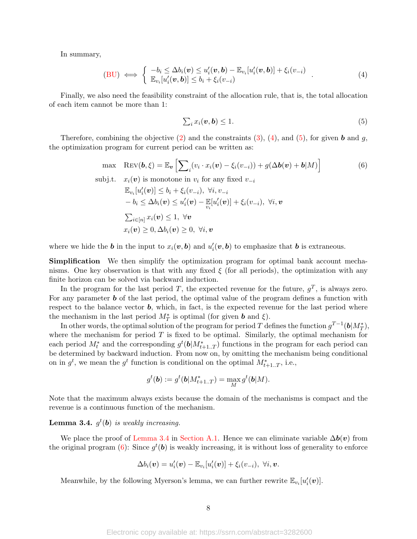In summary,

(BU) 
$$
\iff
$$
 
$$
\begin{cases} -b_i \leq \Delta b_i(\mathbf{v}) \leq u'_i(\mathbf{v}, \mathbf{b}) - \mathbb{E}_{v_i}[u'_i(\mathbf{v}, \mathbf{b})] + \xi_i(v_{-i}) \\ \mathbb{E}_{v_i}[u'_i(\mathbf{v}, \mathbf{b})] \leq b_i + \xi_i(v_{-i}) \end{cases}
$$
 (4)

Finally, we also need the feasibility constraint of the allocation rule, that is, the total allocation of each item cannot be more than 1:

<span id="page-7-3"></span><span id="page-7-1"></span><span id="page-7-0"></span>
$$
\sum_{i} x_i(\boldsymbol{v}, \boldsymbol{b}) \le 1. \tag{5}
$$

Therefore, combining the objective  $(2)$  and the constraints  $(3)$ ,  $(4)$ , and  $(5)$ , for given b and g, the optimization program for current period can be written as:

max 
$$
\text{Rev}(\boldsymbol{b}, \boldsymbol{\xi}) = \mathbb{E}_{\boldsymbol{v}} \left[ \sum_{i} (v_i \cdot x_i(\boldsymbol{v}) - \xi_i(v_{-i})) + g(\Delta \boldsymbol{b}(\boldsymbol{v}) + \boldsymbol{b}|M) \right]
$$
 (6)  
subj.t.  $x_i(\boldsymbol{v})$  is monotone in  $v_i$  for any fixed  $v_{-i}$ 

$$
\mathbb{E}_{v_i}[u'_i(\boldsymbol{v})] \leq b_i + \xi_i(v_{-i}), \ \forall i, v_{-i} \n-b_i \leq \Delta b_i(\boldsymbol{v}) \leq u'_i(\boldsymbol{v}) - \mathbb{E}[u'_i(\boldsymbol{v})] + \xi_i(v_{-i}), \ \forall i, \boldsymbol{v} \n\sum_{i \in [n]} x_i(\boldsymbol{v}) \leq 1, \ \forall \boldsymbol{v} \n x_i(\boldsymbol{v}) \geq 0, \Delta b_i(\boldsymbol{v}) \geq 0, \ \forall i, \boldsymbol{v}
$$

where we hide the **b** in the input to  $x_i(v, b)$  and  $u'_i(v, b)$  to emphasize that **b** is extraneous.

Simplification We then simplify the optimization program for optimal bank account mechanisms. One key observation is that with any fixed  $\xi$  (for all periods), the optimization with any finite horizon can be solved via backward induction.

In the program for the last period T, the expected revenue for the future,  $g^T$ , is always zero. For any parameter  **of the last period, the optimal value of the program defines a function with** respect to the balance vector  $\boldsymbol{b}$ , which, in fact, is the expected revenue for the last period where the mechanism in the last period  $M^*$  is optimal (for given **b** and  $\xi$ ).

In other words, the optimal solution of the program for period T defines the function  $g^{T-1}(\boldsymbol{b}|M_T^*),$ where the mechanism for period  $T$  is fixed to be optimal. Similarly, the optimal mechanism for each period  $M_t^*$  and the corresponding  $g^t(\mathbf{b}|M_{t+1..T}^*)$  functions in the program for each period can be determined by backward induction. From now on, by omitting the mechanism being conditional on in  $g^t$ , we mean the  $g^t$  function is conditional on the optimal  $M^*_{t+1..T}$ , i.e.,

$$
g^t(\textbf{b}):=g^t(\textbf{b}|M^*_{t+1..T})=\max_M g^t(\textbf{b}|M).
$$

Note that the maximum always exists because the domain of the mechanisms is compact and the revenue is a continuous function of the mechanism.

## <span id="page-7-2"></span>**Lemma 3.4.**  $g^t(\mathbf{b})$  is weakly increasing.

We place the proof of [Lemma 3.4](#page-7-2) in [Section A.1.](#page-16-0) Hence we can eliminate variable  $\Delta b(v)$  from the original program  $(6)$ : Since  $g^t(\boldsymbol{b})$  is weakly increasing, it is without loss of generality to enforce

$$
\Delta b_i(\boldsymbol{v}) = u_i'(\boldsymbol{v}) - \mathbb{E}_{v_i}[u_i'(\boldsymbol{v})] + \xi_i(v_{-i}), \ \forall i, \boldsymbol{v}.
$$

Meanwhile, by the following Myerson's lemma, we can further rewrite  $\mathbb{E}_{v_i}[u'_i(\boldsymbol{v})]$ .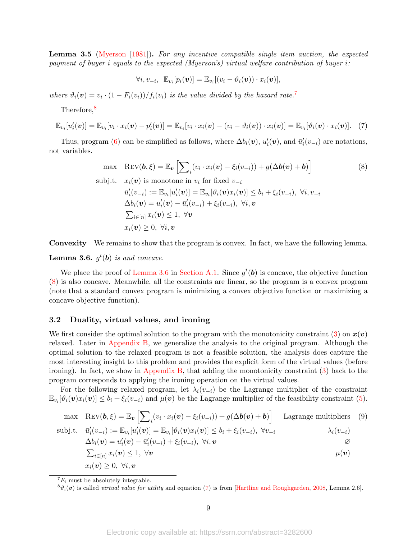<span id="page-8-6"></span>Lemma 3.5 [\(Myerson](#page-15-6) [\[1981\]](#page-15-6)). For any incentive compatible single item auction, the expected payment of buyer i equals to the expected (Myerson's) virtual welfare contribution of buyer i:

<span id="page-8-4"></span><span id="page-8-3"></span>
$$
\forall i, v_{-i}, \ \mathbb{E}_{v_i}[p_i(\boldsymbol{v})] = \mathbb{E}_{v_i}[(v_i - \vartheta_i(\boldsymbol{v})) \cdot x_i(\boldsymbol{v})],
$$

where  $\vartheta_i(\boldsymbol{v}) = v_i \cdot (1 - F_i(v_i)) / f_i(v_i)$  is the value divided by the hazard rate.<sup>[7](#page-8-0)</sup>

Therefore,[8](#page-8-1)

$$
\mathbb{E}_{v_i}[u_i'(\boldsymbol{v})] = \mathbb{E}_{v_i}[v_i \cdot x_i(\boldsymbol{v}) - p_i'(\boldsymbol{v})] = \mathbb{E}_{v_i}[v_i \cdot x_i(\boldsymbol{v}) - (v_i - \vartheta_i(\boldsymbol{v})) \cdot x_i(\boldsymbol{v})] = \mathbb{E}_{v_i}[\vartheta_i(\boldsymbol{v}) \cdot x_i(\boldsymbol{v})]. \quad (7)
$$

Thus, program [\(6\)](#page-7-3) can be simplified as follows, where  $\Delta b_i(v)$ ,  $u'_i(v)$ , and  $\bar{u}'_i(v_{-i})$  are notations, not variables.

max 
$$
\text{Rev}(\boldsymbol{b}, \xi) = \mathbb{E}_{\boldsymbol{v}} \left[ \sum_{i} (v_i \cdot x_i(\boldsymbol{v}) - \xi_i(v_{-i})) + g(\Delta \boldsymbol{b}(\boldsymbol{v}) + \boldsymbol{b}) \right]
$$
 (8)  
\nsubj.t.  $x_i(\boldsymbol{v})$  is monotone in  $v_i$  for fixed  $v_{-i}$   
\n $\bar{u}'_i(v_{-i}) := \mathbb{E}_{v_i}[u'_i(\boldsymbol{v})] = \mathbb{E}_{v_i}[\vartheta_i(\boldsymbol{v})x_i(\boldsymbol{v})] \le b_i + \xi_i(v_{-i}), \ \forall i, v_{-i}$   
\n $\Delta b_i(\boldsymbol{v}) = u'_i(\boldsymbol{v}) - \bar{u}'_i(v_{-i}) + \xi_i(v_{-i}), \ \forall i, \boldsymbol{v}$ 

$$
\sum_{i \in [n]} x_i(\boldsymbol{v}) \le 1, \ \forall \boldsymbol{v}
$$

$$
x_i(\boldsymbol{v}) \ge 0, \ \forall i, \boldsymbol{v}
$$

Convexity We remains to show that the program is convex. In fact, we have the following lemma.

## <span id="page-8-2"></span>**Lemma 3.6.**  $g^t(b)$  is and concave.

We place the proof of [Lemma 3.6](#page-8-2) in [Section A.1.](#page-16-0) Since  $g^t(\boldsymbol{b})$  is concave, the objective function [\(8\)](#page-8-3) is also concave. Meanwhile, all the constraints are linear, so the program is a convex program (note that a standard convex program is minimizing a convex objective function or maximizing a concave objective function).

## 3.2 Duality, virtual values, and ironing

We first consider the optimal solution to the program with the monotonicity constraint [\(3\)](#page-6-1) on  $x(v)$ relaxed. Later in [Appendix B,](#page-18-0) we generalize the analysis to the original program. Although the optimal solution to the relaxed program is not a feasible solution, the analysis does capture the most interesting insight to this problem and provides the explicit form of the virtual values (before ironing). In fact, we show in [Appendix B,](#page-18-0) that adding the monotonicity constraint [\(3\)](#page-6-1) back to the program corresponds to applying the ironing operation on the virtual values.

For the following relaxed program, let  $\lambda_i(v_{-i})$  be the Lagrange multiplier of the constraint  $\mathbb{E}_{v_i}[\vartheta_i(\boldsymbol{v})x_i(\boldsymbol{v})] \leq b_i + \xi_i(v_{-i})$  and  $\mu(\boldsymbol{v})$  be the Lagrange multiplier of the feasibility constraint [\(5\)](#page-7-1).

$$
\begin{array}{ll}\n\text{max} & \text{Rev}(\boldsymbol{b}, \boldsymbol{\xi}) = \mathbb{E}_{\boldsymbol{v}} \left[ \sum_{i} (v_i \cdot x_i(\boldsymbol{v}) - \xi_i(v_{-i})) + g(\Delta \boldsymbol{b}(\boldsymbol{v}) + \boldsymbol{b}) \right] & \text{Lagrange multipliers} \\
\text{subj.t.} & \bar{u}'_i(v_{-i}) := \mathbb{E}_{v_i} [u'_i(\boldsymbol{v})] = \mathbb{E}_{v_i} [\vartheta_i(\boldsymbol{v}) x_i(\boldsymbol{v})] \le b_i + \xi_i(v_{-i}), \ \forall v_{-i} & \lambda_i(v_{-i}) \\
\Delta b_i(\boldsymbol{v}) = u'_i(\boldsymbol{v}) - \bar{u}'_i(v_{-i}) + \xi_i(v_{-i}), \ \forall i, \boldsymbol{v}\n\end{array}
$$

<span id="page-8-5"></span>
$$
\sum_{i \in [n]} x_i(\boldsymbol{v}) \le 1, \ \forall \boldsymbol{v} \qquad \qquad \mu(\boldsymbol{v})
$$
\n
$$
x_i(\boldsymbol{v}) \ge 0, \ \forall i, \boldsymbol{v} \qquad \qquad \mu(\boldsymbol{v})
$$

<span id="page-8-0"></span> ${}^{7}F_i$  must be absolutely integrable.

<span id="page-8-1"></span> ${}^8\vartheta_i(\boldsymbol{v})$  is called *virtual value for utility* and equation [\(7\)](#page-8-4) is from [\[Hartline and Roughgarden,](#page-14-15) [2008,](#page-14-15) Lemma 2.6].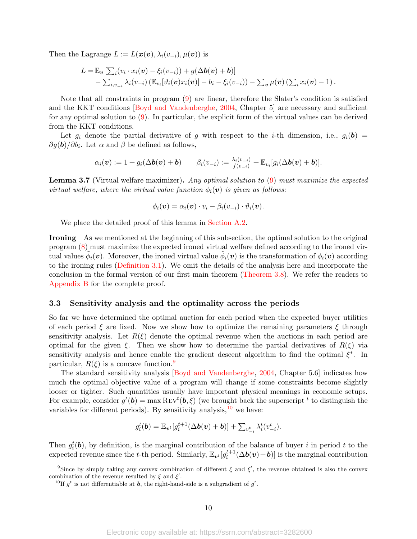<span id="page-9-3"></span>Then the Lagrange  $L := L(\boldsymbol{x}(\boldsymbol{v}), \lambda_i(v_{-i}), \mu(\boldsymbol{v}))$  is

$$
L = \mathbb{E}_{\boldsymbol{v}}\left[\sum_i (v_i \cdot x_i(\boldsymbol{v}) - \xi_i(v_{-i})) + g(\Delta \boldsymbol{b}(\boldsymbol{v}) + \boldsymbol{b})\right] - \sum_{i,v_{-i}} \lambda_i(v_{-i}) \left(\mathbb{E}_{v_i}[\vartheta_i(\boldsymbol{v})x_i(\boldsymbol{v})] - b_i - \xi_i(v_{-i})\right) - \sum_{\boldsymbol{v}} \mu(\boldsymbol{v}) \left(\sum_i x_i(\boldsymbol{v}) - 1\right).
$$

Note that all constraints in program [\(9\)](#page-8-5) are linear, therefore the Slater's condition is satisfied and the KKT conditions [\[Boyd and Vandenberghe,](#page-14-16) [2004,](#page-14-16) Chapter 5] are necessary and sufficient for any optimal solution to [\(9\)](#page-8-5). In particular, the explicit form of the virtual values can be derived from the KKT conditions.

Let  $g_i$  denote the partial derivative of g with respect to the *i*-th dimension, i.e.,  $g_i(\mathbf{b}) =$  $\partial g(\mathbf{b})/\partial b_i$ . Let  $\alpha$  and  $\beta$  be defined as follows,

$$
\alpha_i(\boldsymbol{v}) := 1 + g_i(\Delta \boldsymbol{b}(\boldsymbol{v}) + \boldsymbol{b}) \qquad \beta_i(v_{-i}) := \frac{\lambda_i(v_{-i})}{f(v_{-i})} + \mathbb{E}_{v_i}[g_i(\Delta \boldsymbol{b}(\boldsymbol{v}) + \boldsymbol{b})].
$$

<span id="page-9-2"></span>Lemma 3.7 (Virtual welfare maximizer). Any optimal solution to [\(9\)](#page-8-5) must maximize the expected virtual welfare, where the virtual value function  $\phi_i(\mathbf{v})$  is given as follows:

$$
\phi_i(\boldsymbol{v}) = \alpha_i(\boldsymbol{v}) \cdot v_i - \beta_i(v_{-i}) \cdot \vartheta_i(\boldsymbol{v}).
$$

We place the detailed proof of this lemma in [Section A.2.](#page-16-1)

Ironing As we mentioned at the beginning of this subsection, the optimal solution to the original program [\(8\)](#page-8-3) must maximize the expected ironed virtual welfare defined according to the ironed virtual values  $\tilde{\phi}_i(v)$ . Moreover, the ironed virtual value  $\tilde{\phi}_i(v)$  is the transformation of  $\phi_i(v)$  according to the ironing rules [\(Definition 3.1\)](#page-5-0). We omit the details of the analysis here and incorporate the conclusion in the formal version of our first main theorem [\(Theorem 3.8\)](#page-10-0). We refer the readers to [Appendix B](#page-18-0) for the complete proof.

#### 3.3 Sensitivity analysis and the optimality across the periods

So far we have determined the optimal auction for each period when the expected buyer utilities of each period  $\xi$  are fixed. Now we show how to optimize the remaining parameters  $\xi$  through sensitivity analysis. Let  $R(\xi)$  denote the optimal revenue when the auctions in each period are optimal for the given  $\xi$ . Then we show how to determine the partial derivatives of  $R(\xi)$  via sensitivity analysis and hence enable the gradient descent algorithm to find the optimal  $\xi^*$ . In particular,  $R(\xi)$  is a concave function.<sup>[9](#page-9-0)</sup>

The standard sensitivity analysis [\[Boyd and Vandenberghe,](#page-14-16) [2004,](#page-14-16) Chapter 5.6] indicates how much the optimal objective value of a program will change if some constraints become slightly looser or tighter. Such quantities usually have important physical meanings in economic setups. For example, consider  $g^t(\mathbf{b}) = \max \text{Rev}^t(\mathbf{b}, \xi)$  (we brought back the superscript  $^t$  to distinguish the variables for different periods). By sensitivity analysis,  $^{10}$  $^{10}$  $^{10}$  we have:

$$
g_i^t(\boldsymbol{b}) = \mathbb{E}_{\boldsymbol{v}^t}[g_i^{t+1}(\Delta \boldsymbol{b}(\boldsymbol{v}) + \boldsymbol{b})] + \sum_{v_{-i}^t} \lambda_i^t(v_{-i}^t).
$$

Then  $g_i^t(\boldsymbol{b})$ , by definition, is the marginal contribution of the balance of buyer i in period t to the expected revenue since the t-th period. Similarly,  $\mathbb{E}_{v^t}[g_i^{t+1}(\Delta b(v)+b)]$  is the marginal contribution

<span id="page-9-0"></span><sup>&</sup>lt;sup>9</sup>Since by simply taking any convex combination of different  $\xi$  and  $\xi'$ , the revenue obtained is also the convex combination of the revenue resulted by  $\xi$  and  $\xi'$ .

<span id="page-9-1"></span><sup>&</sup>lt;sup>10</sup>If  $g^t$  is not differentiable at **b**, the right-hand-side is a subgradient of  $g^t$ .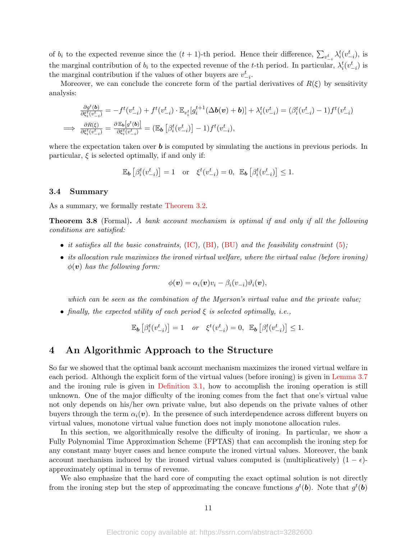of  $b_i$  to the expected revenue since the  $(t+1)$ -th period. Hence their difference,  $\sum_{v_{-i}^t} \lambda_i^t (v_{-i}^t)$ , is the marginal contribution of  $b_i$  to the expected revenue of the t-th period. In particular,  $\lambda_i^t(v_{-i}^t)$  is the marginal contribution if the values of other buyers are  $v_{-i}^t$ .

Moreover, we can conclude the concrete form of the partial derivatives of  $R(\xi)$  by sensitivity analysis:

$$
\frac{\partial g^t(\mathbf{b})}{\partial \xi_i^t(v_{-i}^t)} = -f^t(v_{-i}^t) + f^t(v_{-i}^t) \cdot \mathbb{E}_{v_i^t}[g_i^{t+1}(\Delta \mathbf{b}(v) + \mathbf{b})] + \lambda_i^t(v_{-i}^t) = (\beta_i^t(v_{-i}^t) - 1)f^t(v_{-i}^t)
$$
\n
$$
\implies \frac{\partial R(\xi)}{\partial \xi_i^t(v_{-i}^t)} = \frac{\partial \mathbb{E}_{\mathbf{b}}[g^t(\mathbf{b})]}{\partial \xi_i^t(v_{-i}^t)} = (\mathbb{E}_{\mathbf{b}}\left[\beta_i^t(v_{-i}^t)\right] - 1)f^t(v_{-i}^t),
$$

where the expectation taken over  $\boldsymbol{b}$  is computed by simulating the auctions in previous periods. In particular,  $\xi$  is selected optimally, if and only if:

$$
\mathbb{E}_{\boldsymbol{b}}\left[\beta_i^t(v_{-i}^t)\right] = 1 \quad \text{or} \quad \xi^t(v_{-i}^t) = 0, \ \mathbb{E}_{\boldsymbol{b}}\left[\beta_i^t(v_{-i}^t)\right] \le 1.
$$

#### 3.4 Summary

As a summary, we formally restate [Theorem 3.2.](#page-5-2)

<span id="page-10-0"></span>Theorem 3.8 (Formal). A bank account mechanism is optimal if and only if all the following conditions are satisfied:

- it satisfies all the basic constraints,  $(IC)$ ,  $(BI)$ ,  $(BU)$  and the feasibility constraint  $(5)$ ;
- its allocation rule maximizes the ironed virtual welfare, where the virtual value (before ironing)  $\phi(\mathbf{v})$  has the following form:

$$
\phi(\boldsymbol{v}) = \alpha_i(\boldsymbol{v})v_i - \beta_i(v_{-i})\vartheta_i(\boldsymbol{v}),
$$

which can be seen as the combination of the Myerson's virtual value and the private value;

• finally, the expected utility of each period  $\xi$  is selected optimally, i.e.,

$$
\mathbb{E}_{\pmb{b}}\left[\beta_i^t(v_{-i}^t)\right] = 1 \quad or \quad \xi^t(v_{-i}^t) = 0, \quad \mathbb{E}_{\pmb{b}}\left[\beta_i^t(v_{-i}^t)\right] \le 1.
$$

# 4 An Algorithmic Approach to the Structure

So far we showed that the optimal bank account mechanism maximizes the ironed virtual welfare in each period. Although the explicit form of the virtual values (before ironing) is given in [Lemma 3.7](#page-9-2) and the ironing rule is given in [Definition 3.1,](#page-5-0) how to accomplish the ironing operation is still unknown. One of the major difficulty of the ironing comes from the fact that one's virtual value not only depends on his/her own private value, but also depends on the private values of other buyers through the term  $\alpha_i(\mathbf{v})$ . In the presence of such interdependence across different buyers on virtual values, monotone virtual value function does not imply monotone allocation rules.

In this section, we algorithmically resolve the difficulty of ironing. In particular, we show a Fully Polynomial Time Approximation Scheme (FPTAS) that can accomplish the ironing step for any constant many buyer cases and hence compute the ironed virtual values. Moreover, the bank account mechanism induced by the ironed virtual values computed is (multiplicatively)  $(1 - \epsilon)$ approximately optimal in terms of revenue.

We also emphasize that the hard core of computing the exact optimal solution is not directly from the ironing step but the step of approximating the concave functions  $g^t(\boldsymbol{b})$ . Note that  $g^t(\boldsymbol{b})$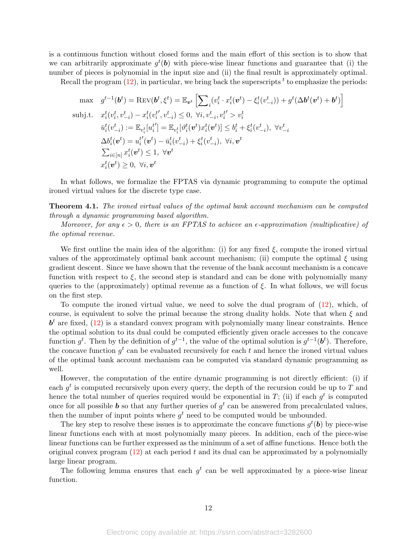is a continuous function without closed forms and the main effort of this section is to show that we can arbitrarily approximate  $g^t(\boldsymbol{b})$  with piece-wise linear functions and guarantee that (i) the number of pieces is polynomial in the input size and (ii) the final result is approximately optimal.

Recall the program  $(12)$ , in particular, we bring back the superscripts  $<sup>t</sup>$  to emphasize the periods:</sup>

$$
\begin{aligned}\n\max \quad & g^{t-1}(\boldsymbol{b}^t) = \text{Rev}(\boldsymbol{b}^t, \xi^t) = \mathbb{E}_{\boldsymbol{v}^t} \left[ \sum_i (v_i^t \cdot x_i^t(\boldsymbol{v}^t) - \xi_i^t(v_{-i}^t)) + g^t(\Delta \boldsymbol{b}^t(\boldsymbol{v}^t) + \boldsymbol{b}^t) \right] \\
\text{subj.t.} \quad & x_i^t(v_i^t, v_{-i}^t) - x_i^t(v_i^{t'}, v_{-i}^t) \leq 0, \ \forall i, v_{-i}^t, v_i^{t'} > v_i^t \\
& \bar{u}_i^t(v_{-i}^t) := \mathbb{E}_{v_i^t}[u_i^{t'}] = \mathbb{E}_{v_i^t}[\vartheta_i^t(\boldsymbol{v}^t)x_i^t(\boldsymbol{v}^t)] \leq b_i^t + \xi_i^t(v_{-i}^t), \ \forall v_{-i}^t \\
& \Delta b_i^t(\boldsymbol{v}^t) = u_i^{t'}(\boldsymbol{v}^t) - \bar{u}_i^t(v_{-i}^t) + \xi_i^t(v_{-i}^t), \ \forall i, \boldsymbol{v}^t \\
& \sum_{i \in [n]} x_i^t(\boldsymbol{v}^t) \leq 1, \ \forall \boldsymbol{v}^t \\
& x_i^t(\boldsymbol{v}^t) \geq 0, \ \forall i, \boldsymbol{v}^t\n\end{aligned}
$$

In what follows, we formalize the FPTAS via dynamic programming to compute the optimal ironed virtual values for the discrete type case.

**Theorem 4.1.** The ironed virtual values of the optimal bank account mechanism can be computed through a dynamic programming based algorithm.

Moreover, for any  $\epsilon > 0$ , there is an FPTAS to achieve an  $\epsilon$ -approximation (multiplicative) of the optimal revenue.

We first outline the main idea of the algorithm: (i) for any fixed  $\xi$ , compute the ironed virtual values of the approximately optimal bank account mechanism; (ii) compute the optimal  $\xi$  using gradient descent. Since we have shown that the revenue of the bank account mechanism is a concave function with respect to  $\xi$ , the second step is standard and can be done with polynomially many queries to the (approximately) optimal revenue as a function of  $\xi$ . In what follows, we will focus on the first step.

To compute the ironed virtual value, we need to solve the dual program of [\(12\)](#page-18-1), which, of course, is equivalent to solve the primal because the strong duality holds. Note that when  $\xi$  and  $\boldsymbol{b}^t$  are fixed, [\(12\)](#page-18-1) is a standard convex program with polynomially many linear constraints. Hence the optimal solution to its dual could be computed efficiently given oracle accesses to the concave function  $g^t$ . Then by the definition of  $g^{t-1}$ , the value of the optimal solution is  $g^{t-1}(\boldsymbol{b}^t)$ . Therefore, the concave function  $g^t$  can be evaluated recursively for each t and hence the ironed virtual values of the optimal bank account mechanism can be computed via standard dynamic programming as well.

However, the computation of the entire dynamic programming is not directly efficient: (i) if each  $g^t$  is computed recursively upon every query, the depth of the recursion could be up to T and hence the total number of queries required would be exponential in T; (ii) if each  $g^t$  is computed once for all possible **b** so that any further queries of  $g^t$  can be answered from precalculated values, then the number of input points where  $g<sup>t</sup>$  need to be computed would be unbounded.

The key step to resolve these issues is to approximate the concave functions  $g^t(\boldsymbol{b})$  by piece-wise linear functions each with at most polynomially many pieces. In addition, each of the piece-wise linear functions can be further expressed as the minimum of a set of affine functions. Hence both the original convex program  $(12)$  at each period t and its dual can be approximated by a polynomially large linear program.

The following lemma ensures that each  $g<sup>t</sup>$  can be well approximated by a piece-wise linear function.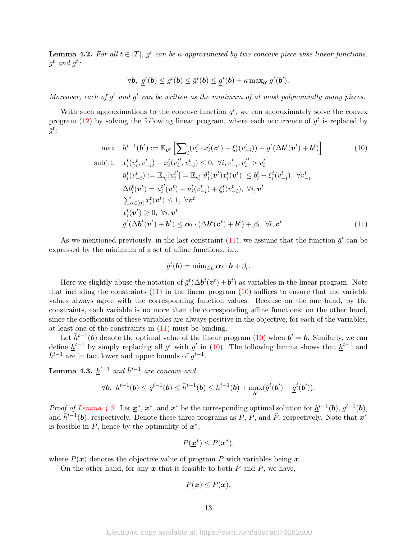<span id="page-12-3"></span>**Lemma 4.2.** For all  $t \in [T]$ ,  $g^t$  can be  $\kappa$ -approximated by two concave piece-wise linear functions,  $g^t$  and  $\bar{g}^t$ :

$$
\forall \mathbf{b}, \; \underline{g}^t(\mathbf{b}) \leq g^t(\mathbf{b}) \leq \overline{g}^t(\mathbf{b}) \leq \underline{g}^t(\mathbf{b}) + \kappa \max_{\mathbf{b}'} g^t(\mathbf{b}').
$$

Moreover, each of  $g^t$  and  $\bar{g}^t$  can be written as the minimum of at most polynomially many pieces.

With such approximations to the concave function  $g^t$ , we can approximately solve the convex program [\(12\)](#page-18-1) by solving the following linear program, where each occurrence of  $g^t$  is replaced by  $\bar{g}^t$ :

$$
\max \quad \bar{h}^{t-1}(\boldsymbol{b}^t) := \mathbb{E}_{\boldsymbol{v}^t} \left[ \sum_{i} (v_i^t \cdot x_i^t(\boldsymbol{v}^t) - \xi_i^t(v_{-i}^t)) + \bar{g}^t(\Delta \boldsymbol{b}^t(\boldsymbol{v}^t) + \boldsymbol{b}^t) \right]
$$
\n
$$
\text{subj.t.} \quad x_i^t(v_i^t, v_{-i}^t) - x_i^t(v_i^{t'}, v_{-i}^t) \le 0, \ \forall i, v_{-i}^t, v_i^{t'} > v_i^t
$$
\n
$$
\bar{u}_i^t(v_{-i}^t) := \mathbb{E}_{v_i^t}[u_i^{t'}] = \mathbb{E}_{v_i^t}[\vartheta_i^t(\boldsymbol{v}^t)x_i^t(\boldsymbol{v}^t)] \le b_i^t + \xi_i^t(v_{-i}^t), \ \forall v_{-i}^t
$$
\n
$$
\Delta b_i^t(\boldsymbol{v}^t) = u_i^{t'}(\boldsymbol{v}^t) - \bar{u}_i^t(v_{-i}^t) + \xi_i^t(v_{-i}^t), \ \forall i, \boldsymbol{v}^t
$$
\n
$$
\sum_{i \in [n]} x_i^t(\boldsymbol{v}^t) \le 1, \ \forall \boldsymbol{v}^t
$$
\n
$$
x_i^t(\boldsymbol{v}^t) \ge 0, \ \forall i, \boldsymbol{v}^t
$$
\n
$$
\bar{g}^t(\Delta \boldsymbol{b}^t(\boldsymbol{v}^t) + \boldsymbol{b}^t) \le \alpha_l \cdot (\Delta \boldsymbol{b}^t(\boldsymbol{v}^t) + \boldsymbol{b}^t) + \beta_l, \ \forall l, \boldsymbol{v}^t
$$
\n
$$
(11)
$$

As we mentioned previously, in the last constraint  $(11)$ , we assume that the function  $\bar{g}^t$  can be expressed by the minimum of a set of affine functions, i.e.,

<span id="page-12-1"></span><span id="page-12-0"></span>
$$
\bar{g}^t(\boldsymbol{b}) = \min_{l \in L} \boldsymbol{\alpha}_l \cdot \boldsymbol{b} + \beta_l.
$$

Here we slightly abuse the notation of  $\bar{g}^t(\Delta b^t(\mathbf{v}^t)+\mathbf{b}^t)$  as variables in the linear program. Note that including the constraints  $(11)$  in the linear program  $(10)$  suffices to ensure that the variable values always agree with the corresponding function values. Because on the one hand, by the constraints, each variable is no more than the corresponding affine functions; on the other hand, since the coefficients of these variables are always positive in the objective, for each of the variables, at least one of the constraints in [\(11\)](#page-12-0) must be binding.

Let  $\bar{h}^{t-1}(\boldsymbol{b})$  denote the optimal value of the linear program [\(10\)](#page-12-1) when  $\boldsymbol{b}^t = \boldsymbol{b}$ . Similarly, we can define  $\underline{h}^{t-1}$  by simply replacing all  $\overline{g}^t$  with  $g^t$  in [\(10\)](#page-12-1). The following lemma shows that  $\underline{h}^{t-1}$  and  $\bar{h}^{t-1}$  are in fact lower and upper bounds of  $\bar{g}^{t-1}$ .

<span id="page-12-2"></span>**Lemma 4.3.**  $\underline{h}^{t-1}$  and  $\overline{h}^{t-1}$  are concave and

$$
\forall \boldsymbol{b}, \ \underline{h}^{t-1}(\boldsymbol{b}) \leq g^{t-1}(\boldsymbol{b}) \leq \overline{h}^{t-1}(\boldsymbol{b}) \leq \underline{h}^{t-1}(\boldsymbol{b}) + \max_{\boldsymbol{b}'} (\overline{g}^t(\boldsymbol{b}') - \underline{g}^t(\boldsymbol{b}')).
$$

*Proof of [Lemma 4.3.](#page-12-2)* Let  $\underline{\mathbf{x}}^*$ ,  $\mathbf{x}^*$ , and  $\overline{\mathbf{x}}^*$  be the corresponding optimal solution for  $\underline{h}^{t-1}(\mathbf{b}), g^{t-1}(\mathbf{b}),$ and  $h^{-1}(b)$ , respectively. Denote these three programs as  $P, P$ , and  $\bar{P}$ , respectively. Note that  $x^*$ is feasible in  $P$ , hence by the optimality of  $x^*$ ,

$$
P(\underline{\bm{x}}^*) \leq P(\bm{x}^*),
$$

where  $P(x)$  denotes the objective value of program P with variables being x.

On the other hand, for any  $x$  that is feasible to both  $P$  and  $P$ , we have,

$$
\underline{P}(\boldsymbol{x}) \leq P(\boldsymbol{x}).
$$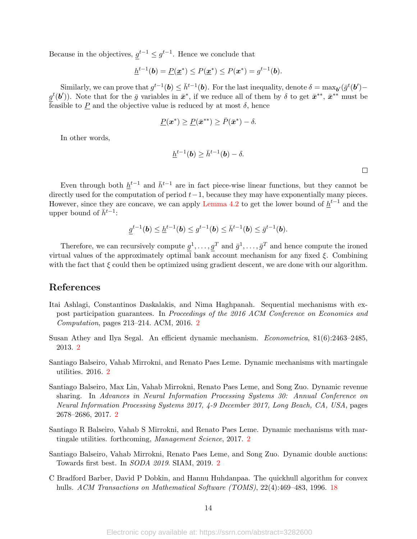Because in the objectives,  $g^{t-1} \leq g^{t-1}$ . Hence we conclude that

$$
\underline{h}^{t-1}(\mathbf{b}) = \underline{P}(\underline{\boldsymbol{x}}^*) \le P(\underline{\boldsymbol{x}}^*) \le P(\boldsymbol{x}^*) = g^{t-1}(\mathbf{b}).
$$

Similarly, we can prove that  $g^{t-1}(\boldsymbol{b}) \leq \bar{h}^{t-1}(\boldsymbol{b})$ . For the last inequality, denote  $\delta = \max_{\boldsymbol{b}'} (\bar{g}^t(\boldsymbol{b}')$  $g^t(\boldsymbol{b}')$ ). Note that for the  $\bar{g}$  variables in  $\bar{x}^*$ , if we reduce all of them by  $\delta$  to get  $\bar{x}^{**}$ ,  $\bar{x}^{**}$  must be feasible to  $\underline{P}$  and the objective value is reduced by at most  $\delta$ , hence

$$
\underline{P}(\mathbf{x}^*) \geq \underline{P}(\bar{\mathbf{x}}^{**}) \geq \bar{P}(\bar{\mathbf{x}}^*) - \delta.
$$

In other words,

$$
\underline{h}^{t-1}(\boldsymbol{b}) \geq \bar{h}^{t-1}(\boldsymbol{b}) - \delta.
$$

Even through both  $\underline{h}^{t-1}$  and  $\overline{h}^{t-1}$  are in fact piece-wise linear functions, but they cannot be directly used for the computation of period  $t-1$ , because they may have exponentially many pieces. However, since they are concave, we can apply [Lemma 4.2](#page-12-3) to get the lower bound of  $\underline{h}^{t-1}$  and the upper bound of  $\bar{h}^{t-1}$ :

$$
\underline{g}^{t-1}(\mathbf{b}) \leq \underline{h}^{t-1}(\mathbf{b}) \leq g^{t-1}(\mathbf{b}) \leq \bar{h}^{t-1}(\mathbf{b}) \leq \bar{g}^{t-1}(\mathbf{b}).
$$

Therefore, we can recursively compute  $g^1, \ldots, g^T$  and  $\bar{g}^1, \ldots, \bar{g}^T$  and hence compute the ironed virtual values of the approximately optimal bank account mechanism for any fixed  $\xi$ . Combining with the fact that  $\xi$  could then be optimized using gradient descent, we are done with our algorithm.

## References

- <span id="page-13-5"></span>Itai Ashlagi, Constantinos Daskalakis, and Nima Haghpanah. Sequential mechanisms with expost participation guarantees. In Proceedings of the 2016 ACM Conference on Economics and Computation, pages 213–214. ACM, 2016. [2](#page-1-4)
- <span id="page-13-0"></span>Susan Athey and Ilya Segal. An efficient dynamic mechanism. Econometrica, 81(6):2463–2485, 2013. [2](#page-1-4)
- <span id="page-13-1"></span>Santiago Balseiro, Vahab Mirrokni, and Renato Paes Leme. Dynamic mechanisms with martingale utilities. 2016. [2](#page-1-4)
- <span id="page-13-2"></span>Santiago Balseiro, Max Lin, Vahab Mirrokni, Renato Paes Leme, and Song Zuo. Dynamic revenue sharing. In Advances in Neural Information Processing Systems 30: Annual Conference on Neural Information Processing Systems 2017, 4-9 December 2017, Long Beach, CA, USA, pages 2678–2686, 2017. [2](#page-1-4)
- <span id="page-13-3"></span>Santiago R Balseiro, Vahab S Mirrokni, and Renato Paes Leme. Dynamic mechanisms with martingale utilities. forthcoming, Management Science, 2017. [2](#page-1-4)
- <span id="page-13-4"></span>Santiago Balseiro, Vahab Mirrokni, Renato Paes Leme, and Song Zuo. Dynamic double auctions: Towards first best. In SODA 2019. SIAM, 2019. [2](#page-1-4)
- <span id="page-13-6"></span>C Bradford Barber, David P Dobkin, and Hannu Huhdanpaa. The quickhull algorithm for convex hulls. ACM Transactions on Mathematical Software (TOMS), 22(4):469–483, 1996. [18](#page-17-0)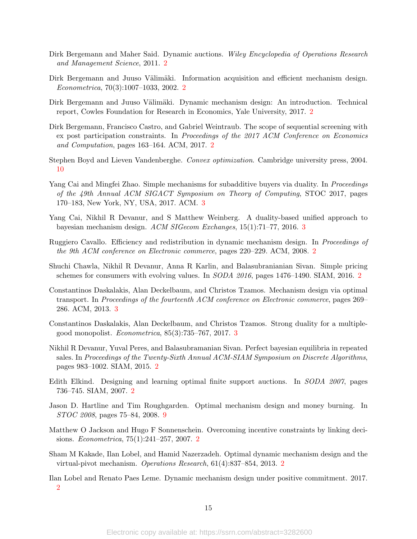- <span id="page-14-7"></span>Dirk Bergemann and Maher Said. Dynamic auctions. Wiley Encyclopedia of Operations Research and Management Science, 2011. [2](#page-1-4)
- <span id="page-14-0"></span>Dirk Bergemann and Juuso Välimäki. Information acquisition and efficient mechanism design. Econometrica, 70(3):1007–1033, 2002. [2](#page-1-4)
- <span id="page-14-8"></span>Dirk Bergemann and Juuso Välimäki. Dynamic mechanism design: An introduction. Technical report, Cowles Foundation for Research in Economics, Yale University, 2017. [2](#page-1-4)
- <span id="page-14-5"></span>Dirk Bergemann, Francisco Castro, and Gabriel Weintraub. The scope of sequential screening with ex post participation constraints. In Proceedings of the 2017 ACM Conference on Economics and Computation, pages 163–164. ACM, 2017. [2](#page-1-4)
- <span id="page-14-16"></span>Stephen Boyd and Lieven Vandenberghe. Convex optimization. Cambridge university press, 2004. [10](#page-9-3)
- <span id="page-14-13"></span>Yang Cai and Mingfei Zhao. Simple mechanisms for subadditive buyers via duality. In *Proceedings* of the 49th Annual ACM SIGACT Symposium on Theory of Computing, STOC 2017, pages 170–183, New York, NY, USA, 2017. ACM. [3](#page-2-2)
- <span id="page-14-12"></span>Yang Cai, Nikhil R Devanur, and S Matthew Weinberg. A duality-based unified approach to bayesian mechanism design. ACM SIGecom Exchanges, 15(1):71–77, 2016. [3](#page-2-2)
- <span id="page-14-1"></span>Ruggiero Cavallo. Efficiency and redistribution in dynamic mechanism design. In Proceedings of the 9th ACM conference on Electronic commerce, pages 220–229. ACM, 2008. [2](#page-1-4)
- <span id="page-14-4"></span>Shuchi Chawla, Nikhil R Devanur, Anna R Karlin, and Balasubranianian Sivan. Simple pricing schemes for consumers with evolving values. In SODA 2016, pages 1476–1490. SIAM, 2016. [2](#page-1-4)
- <span id="page-14-11"></span>Constantinos Daskalakis, Alan Deckelbaum, and Christos Tzamos. Mechanism design via optimal transport. In Proceedings of the fourteenth ACM conference on Electronic commerce, pages 269– 286. ACM, 2013. [3](#page-2-2)
- <span id="page-14-14"></span>Constantinos Daskalakis, Alan Deckelbaum, and Christos Tzamos. Strong duality for a multiplegood monopolist. Econometrica, 85(3):735–767, 2017. [3](#page-2-2)
- <span id="page-14-3"></span>Nikhil R Devanur, Yuval Peres, and Balasubramanian Sivan. Perfect bayesian equilibria in repeated sales. In Proceedings of the Twenty-Sixth Annual ACM-SIAM Symposium on Discrete Algorithms, pages 983–1002. SIAM, 2015. [2](#page-1-4)
- <span id="page-14-10"></span>Edith Elkind. Designing and learning optimal finite support auctions. In SODA 2007, pages 736–745. SIAM, 2007. [2](#page-1-4)
- <span id="page-14-15"></span>Jason D. Hartline and Tim Roughgarden. Optimal mechanism design and money burning. In STOC 2008, pages 75–84, 2008. [9](#page-8-6)
- <span id="page-14-9"></span>Matthew O Jackson and Hugo F Sonnenschein. Overcoming incentive constraints by linking decisions. Econometrica, 75(1):241–257, 2007. [2](#page-1-4)
- <span id="page-14-2"></span>Sham M Kakade, Ilan Lobel, and Hamid Nazerzadeh. Optimal dynamic mechanism design and the virtual-pivot mechanism. Operations Research, 61(4):837–854, 2013. [2](#page-1-4)
- <span id="page-14-6"></span>Ilan Lobel and Renato Paes Leme. Dynamic mechanism design under positive commitment. 2017. [2](#page-1-4)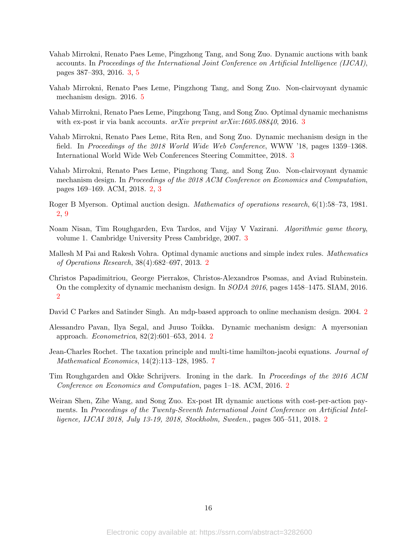- <span id="page-15-8"></span>Vahab Mirrokni, Renato Paes Leme, Pingzhong Tang, and Song Zuo. Dynamic auctions with bank accounts. In Proceedings of the International Joint Conference on Artificial Intelligence (IJCAI), pages 387–393, 2016. [3,](#page-2-2) [5](#page-4-4)
- <span id="page-15-12"></span>Vahab Mirrokni, Renato Paes Leme, Pingzhong Tang, and Song Zuo. Non-clairvoyant dynamic mechanism design. 2016. [5](#page-4-4)
- <span id="page-15-9"></span>Vahab Mirrokni, Renato Paes Leme, Pingzhong Tang, and Song Zuo. Optimal dynamic mechanisms with ex-post ir via bank accounts.  $arXiv$  preprint  $arXiv:1605.08840$ , 2016. [3](#page-2-2)
- <span id="page-15-10"></span>Vahab Mirrokni, Renato Paes Leme, Rita Ren, and Song Zuo. Dynamic mechanism design in the field. In Proceedings of the 2018 World Wide Web Conference, WWW '18, pages 1359–1368. International World Wide Web Conferences Steering Committee, 2018. [3](#page-2-2)
- <span id="page-15-5"></span>Vahab Mirrokni, Renato Paes Leme, Pingzhong Tang, and Song Zuo. Non-clairvoyant dynamic mechanism design. In Proceedings of the 2018 ACM Conference on Economics and Computation, pages 169–169. ACM, 2018. [2,](#page-1-4) [3](#page-2-2)
- <span id="page-15-6"></span>Roger B Myerson. Optimal auction design. Mathematics of operations research, 6(1):58–73, 1981. [2,](#page-1-4) [9](#page-8-6)
- <span id="page-15-11"></span>Noam Nisan, Tim Roughgarden, Eva Tardos, and Vijay V Vazirani. Algorithmic game theory, volume 1. Cambridge University Press Cambridge, 2007. [3](#page-2-2)
- <span id="page-15-1"></span>Mallesh M Pai and Rakesh Vohra. Optimal dynamic auctions and simple index rules. Mathematics of Operations Research, 38(4):682–697, 2013. [2](#page-1-4)
- <span id="page-15-4"></span>Christos Papadimitriou, George Pierrakos, Christos-Alexandros Psomas, and Aviad Rubinstein. On the complexity of dynamic mechanism design. In SODA 2016, pages 1458–1475. SIAM, 2016. [2](#page-1-4)
- <span id="page-15-0"></span>David C Parkes and Satinder Singh. An mdp-based approach to online mechanism design. 2004. [2](#page-1-4)
- <span id="page-15-2"></span>Alessandro Pavan, Ilya Segal, and Juuso Toikka. Dynamic mechanism design: A myersonian approach. Econometrica, 82(2):601–653, 2014. [2](#page-1-4)
- <span id="page-15-13"></span>Jean-Charles Rochet. The taxation principle and multi-time hamilton-jacobi equations. Journal of Mathematical Economics, 14(2):113–128, 1985. [7](#page-6-2)
- <span id="page-15-7"></span>Tim Roughgarden and Okke Schrijvers. Ironing in the dark. In Proceedings of the 2016 ACM Conference on Economics and Computation, pages 1–18. ACM, 2016. [2](#page-1-4)
- <span id="page-15-3"></span>Weiran Shen, Zihe Wang, and Song Zuo. Ex-post IR dynamic auctions with cost-per-action payments. In Proceedings of the Twenty-Seventh International Joint Conference on Artificial Intelligence, IJCAI 2018, July 13-19, 2018, Stockholm, Sweden., pages 505–511, 2018. [2](#page-1-4)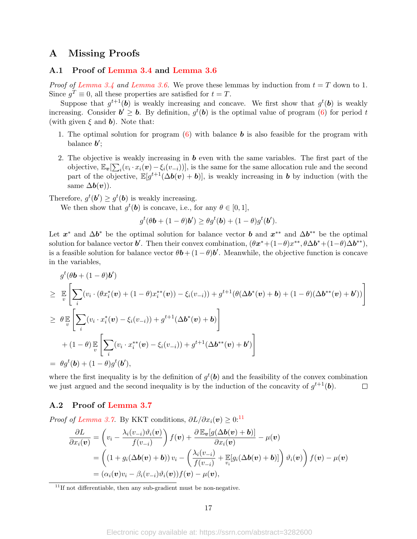# A Missing Proofs

### <span id="page-16-0"></span>A.1 Proof of [Lemma 3.4](#page-7-2) and [Lemma 3.6](#page-8-2)

*Proof of [Lemma 3.4](#page-7-2) and [Lemma 3.6.](#page-8-2)* We prove these lemmas by induction from  $t = T$  down to 1. Since  $g^T \equiv 0$ , all these properties are satisfied for  $t = T$ .

Suppose that  $g^{t+1}$ (b) is weakly increasing and concave. We first show that  $g^t$ (b) is weakly increasing. Consider  $b' \geq b$ . By definition,  $g^t(b)$  is the optimal value of program [\(6\)](#page-7-3) for period t (with given  $\xi$  and  $\boldsymbol{b}$ ). Note that:

- 1. The optimal solution for program  $(6)$  with balance **b** is also feasible for the program with balance  $b'$ ;
- 2. The objective is weakly increasing in  $\boldsymbol{b}$  even with the same variables. The first part of the objective,  $\mathbb{E}_{\bm{v}}[\sum_i (v_i \cdot x_i(\bm{v}) - \xi_i(v_{-i}))]$ , is the same for the same allocation rule and the second part of the objective,  $\mathbb{E}[g^{t+1}(\Delta b(v) + b)]$ , is weakly increasing in b by induction (with the same  $\Delta b(v)$ ).

Therefore,  $g^t(\mathbf{b}') \geq g^t(\mathbf{b})$  is weakly increasing.

We then show that  $g^t(\mathbf{b})$  is concave, i.e., for any  $\theta \in [0,1],$ 

$$
g^t(\theta \mathbf{b} + (1 - \theta)\mathbf{b}') \ge \theta g^t(\mathbf{b}) + (1 - \theta)g^t(\mathbf{b}').
$$

Let  $x^*$  and  $\Delta b^*$  be the optimal solution for balance vector b and  $x^{**}$  and  $\Delta b^{**}$  be the optimal solution for balance vector **b'**. Then their convex combination,  $(\theta x^* + (1-\theta)x^{**}, \theta \Delta b^* + (1-\theta)\Delta b^{**}),$ is a feasible solution for balance vector  $\theta \mathbf{b} + (1 - \theta) \mathbf{b}'$ . Meanwhile, the objective function is concave in the variables,

$$
g^{t}(\theta\mathbf{b} + (1 - \theta)\mathbf{b}')
$$
\n
$$
\geq \mathbb{E}\left[\sum_{i} (v_{i} \cdot (\theta x_{i}^{*}(\mathbf{v}) + (1 - \theta)x_{i}^{**}(\mathbf{v})) - \xi_{i}(v_{-i})) + g^{t+1}(\theta(\Delta \mathbf{b}^{*}(\mathbf{v}) + \mathbf{b}) + (1 - \theta)(\Delta \mathbf{b}^{**}(\mathbf{v}) + \mathbf{b}') )\right]
$$
\n
$$
\geq \theta \mathbb{E}\left[\sum_{i} (v_{i} \cdot x_{i}^{*}(\mathbf{v}) - \xi_{i}(v_{-i})) + g^{t+1}(\Delta \mathbf{b}^{*}(\mathbf{v}) + \mathbf{b})\right]
$$
\n
$$
+ (1 - \theta) \mathbb{E}\left[\sum_{i} (v_{i} \cdot x_{i}^{**}(\mathbf{v}) - \xi_{i}(v_{-i})) + g^{t+1}(\Delta \mathbf{b}^{**}(\mathbf{v}) + \mathbf{b}')\right]
$$
\n
$$
= \theta g^{t}(\mathbf{b}) + (1 - \theta) g^{t}(\mathbf{b}'),
$$

where the first inequality is by the definition of  $g^t(\boldsymbol{b})$  and the feasibility of the convex combination we just argued and the second inequality is by the induction of the concavity of  $g^{t+1}(\boldsymbol{b})$ .  $\Box$ 

## <span id="page-16-1"></span>A.2 Proof of [Lemma 3.7](#page-9-2)

*Proof of [Lemma 3.7.](#page-9-2)* By KKT conditions,  $\partial L/\partial x_i(v) > 0$ :<sup>[11](#page-16-2)</sup>

$$
\frac{\partial L}{\partial x_i(\boldsymbol{v})} = \left(v_i - \frac{\lambda_i(v_{-i})\vartheta_i(\boldsymbol{v})}{f(v_{-i})}\right) f(\boldsymbol{v}) + \frac{\partial \mathbb{E}_{\boldsymbol{v}}[g(\Delta b(\boldsymbol{v}) + \boldsymbol{b})]}{\partial x_i(\boldsymbol{v})} - \mu(\boldsymbol{v})
$$
\n
$$
= \left((1 + g_i(\Delta b(\boldsymbol{v}) + \boldsymbol{b}))v_i - \left(\frac{\lambda_i(v_{-i})}{f(v_{-i})} + \mathbb{E}_{v_i}[g_i(\Delta b(\boldsymbol{v}) + \boldsymbol{b})]\right)\vartheta_i(\boldsymbol{v})\right) f(\boldsymbol{v}) - \mu(\boldsymbol{v})
$$
\n
$$
= (\alpha_i(\boldsymbol{v})v_i - \beta_i(v_{-i})\vartheta_i(\boldsymbol{v}))f(\boldsymbol{v}) - \mu(\boldsymbol{v}),
$$

<span id="page-16-2"></span> $11$ If not differentiable, then any sub-gradient must be non-negative.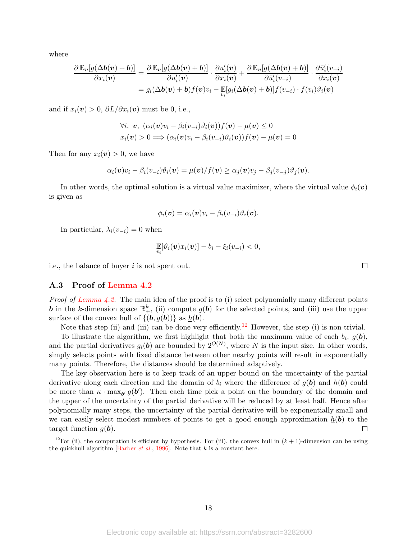<span id="page-17-0"></span>where

$$
\frac{\partial \mathbb{E}_{\boldsymbol{v}}[g(\Delta b(\boldsymbol{v}) + \boldsymbol{b})]}{\partial x_i(\boldsymbol{v})} = \frac{\partial \mathbb{E}_{\boldsymbol{v}}[g(\Delta b(\boldsymbol{v}) + \boldsymbol{b})]}{\partial u_i'(\boldsymbol{v})} \cdot \frac{\partial u_i'(\boldsymbol{v})}{\partial x_i(\boldsymbol{v})} + \frac{\partial \mathbb{E}_{\boldsymbol{v}}[g(\Delta b(\boldsymbol{v}) + \boldsymbol{b})]}{\partial \bar{u}_i'(v_{-i})} \cdot \frac{\partial \bar{u}_i'(v_{-i})}{\partial x_i(\boldsymbol{v})} = g_i(\Delta b(\boldsymbol{v}) + \boldsymbol{b})f(\boldsymbol{v})v_i - \mathbb{E}[g_i(\Delta b(\boldsymbol{v}) + \boldsymbol{b})]f(v_{-i}) \cdot f(v_i)\vartheta_i(\boldsymbol{v})
$$

and if  $x_i(v) > 0$ ,  $\partial L/\partial x_i(v)$  must be 0, i.e.,

$$
\forall i, \mathbf{v}, (\alpha_i(\mathbf{v})v_i - \beta_i(v_{-i})\vartheta_i(\mathbf{v}))f(\mathbf{v}) - \mu(\mathbf{v}) \le 0
$$
  

$$
x_i(\mathbf{v}) > 0 \Longrightarrow (\alpha_i(\mathbf{v})v_i - \beta_i(v_{-i})\vartheta_i(\mathbf{v}))f(\mathbf{v}) - \mu(\mathbf{v}) = 0
$$

Then for any  $x_i(v) > 0$ , we have

$$
\alpha_i(\boldsymbol{v})v_i - \beta_i(v_{-i})\vartheta_i(\boldsymbol{v}) = \mu(\boldsymbol{v})/f(\boldsymbol{v}) \geq \alpha_j(\boldsymbol{v})v_j - \beta_j(v_{-j})\vartheta_j(\boldsymbol{v}).
$$

In other words, the optimal solution is a virtual value maximizer, where the virtual value  $\phi_i(\boldsymbol{v})$ is given as

$$
\phi_i(\boldsymbol{v}) = \alpha_i(\boldsymbol{v})v_i - \beta_i(v_{-i})\vartheta_i(\boldsymbol{v}).
$$

In particular,  $\lambda_i(v_{-i}) = 0$  when

$$
\mathop{\mathbb{E}}_{v_i}[\vartheta_i(\boldsymbol{v})x_i(\boldsymbol{v})] - b_i - \xi_i(v_{-i}) < 0,
$$

 $\Box$ 

i.e., the balance of buyer i is not spent out.

#### A.3 Proof of [Lemma 4.2](#page-12-3)

*Proof of [Lemma 4.2.](#page-12-3)* The main idea of the proof is to (i) select polynomially many different points **b** in the k-dimension space  $\mathbb{R}^k_+$ , (ii) compute  $g(b)$  for the selected points, and (iii) use the upper surface of the convex hull of  $\{(b, g(b))\}$  as  $h(b)$ .

Note that step (ii) and (iii) can be done very efficiently.<sup>[12](#page-17-1)</sup> However, the step (i) is non-trivial.

To illustrate the algorithm, we first highlight that both the maximum value of each  $b_i$ ,  $g(b)$ , and the partial derivatives  $g_i(\boldsymbol{b})$  are bounded by  $2^{O(N)}$ , where N is the input size. In other words, simply selects points with fixed distance between other nearby points will result in exponentially many points. Therefore, the distances should be determined adaptively.

The key observation here is to keep track of an upper bound on the uncertainty of the partial derivative along each direction and the domain of  $b_i$  where the difference of  $g(b)$  and  $h(b)$  could be more than  $\kappa \cdot \max_{b'} g(b')$ . Then each time pick a point on the boundary of the domain and the upper of the uncertainty of the partial derivative will be reduced by at least half. Hence after polynomially many steps, the uncertainty of the partial derivative will be exponentially small and we can easily select modest numbers of points to get a good enough approximation  $h(\boldsymbol{b})$  to the target function  $g(\boldsymbol{b})$ .  $\Box$ 

Electronic copy available at: https://ssrn.com/abstract=3282600

<span id="page-17-1"></span><sup>&</sup>lt;sup>12</sup>For (ii), the computation is efficient by hypothesis. For (iii), the convex hull in  $(k + 1)$ -dimension can be using the quickhull algorithm [\[Barber](#page-13-6) *et al.*, [1996\]](#page-13-6). Note that  $k$  is a constant here.